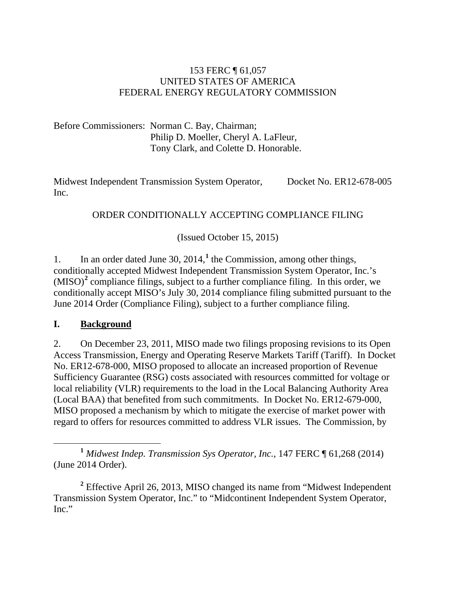#### 153 FERC ¶ 61,057 UNITED STATES OF AMERICA FEDERAL ENERGY REGULATORY COMMISSION

Before Commissioners: Norman C. Bay, Chairman; Philip D. Moeller, Cheryl A. LaFleur, Tony Clark, and Colette D. Honorable.

Midwest Independent Transmission System Operator, Inc. Docket No. ER12-678-005

#### ORDER CONDITIONALLY ACCEPTING COMPLIANCE FILING

(Issued October 15, 2015)

1. In an order dated June 30, 2014,**[1](#page-0-0)** the Commission, among other things, conditionally accepted Midwest Independent Transmission System Operator, Inc.'s (MISO) **[2](#page-0-1)** compliance filings, subject to a further compliance filing. In this order, we conditionally accept MISO's July 30, 2014 compliance filing submitted pursuant to the June 2014 Order (Compliance Filing), subject to a further compliance filing.

#### **I. Background**

2. On December 23, 2011, MISO made two filings proposing revisions to its Open Access Transmission, Energy and Operating Reserve Markets Tariff (Tariff). In Docket No. ER12-678-000, MISO proposed to allocate an increased proportion of Revenue Sufficiency Guarantee (RSG) costs associated with resources committed for voltage or local reliability (VLR) requirements to the load in the Local Balancing Authority Area (Local BAA) that benefited from such commitments. In Docket No. ER12-679-000, MISO proposed a mechanism by which to mitigate the exercise of market power with regard to offers for resources committed to address VLR issues. The Commission, by

<span id="page-0-0"></span>**<sup>1</sup>** *Midwest Indep. Transmission Sys Operator, Inc.*, 147 FERC ¶ 61,268 (2014) (June 2014 Order).

<span id="page-0-1"></span>**<sup>2</sup>** Effective April 26, 2013, MISO changed its name from "Midwest Independent Transmission System Operator, Inc." to "Midcontinent Independent System Operator, Inc."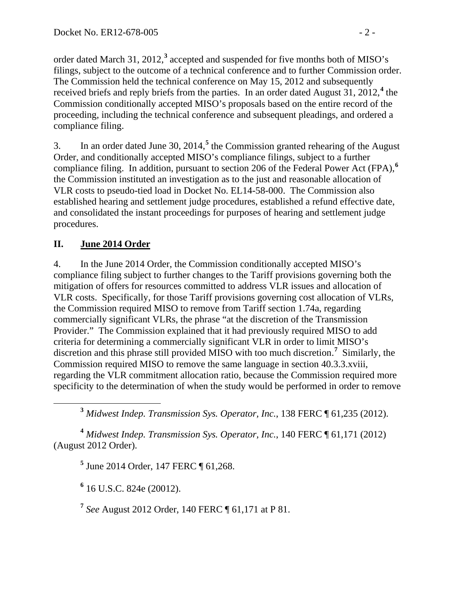order dated March 31, 2012,**[3](#page-1-0)** accepted and suspended for five months both of MISO's filings, subject to the outcome of a technical conference and to further Commission order. The Commission held the technical conference on May 15, 2012 and subsequently received briefs and reply briefs from the parties. In an order dated August 31, 2012,**[4](#page-1-1)** the Commission conditionally accepted MISO's proposals based on the entire record of the proceeding, including the technical conference and subsequent pleadings, and ordered a compliance filing.

3. In an order dated June 30, 2014,**[5](#page-1-2)** the Commission granted rehearing of the August Order, and conditionally accepted MISO's compliance filings, subject to a further compliance filing. In addition, pursuant to section 206 of the Federal Power Act (FPA),**[6](#page-1-3)** the Commission instituted an investigation as to the just and reasonable allocation of VLR costs to pseudo-tied load in Docket No. EL14-58-000. The Commission also established hearing and settlement judge procedures, established a refund effective date, and consolidated the instant proceedings for purposes of hearing and settlement judge procedures.

## **II. June 2014 Order**

4. In the June 2014 Order, the Commission conditionally accepted MISO's compliance filing subject to further changes to the Tariff provisions governing both the mitigation of offers for resources committed to address VLR issues and allocation of VLR costs. Specifically, for those Tariff provisions governing cost allocation of VLRs, the Commission required MISO to remove from Tariff section 1.74a, regarding commercially significant VLRs, the phrase "at the discretion of the Transmission Provider." The Commission explained that it had previously required MISO to add criteria for determining a commercially significant VLR in order to limit MISO's discretion and this phrase still provided MISO with too much discretion. **[7](#page-1-4)** Similarly, the Commission required MISO to remove the same language in section 40.3.3.xviii, regarding the VLR commitment allocation ratio, because the Commission required more specificity to the determination of when the study would be performed in order to remove

**<sup>3</sup>** *Midwest Indep. Transmission Sys. Operator, Inc.*, 138 FERC ¶ 61,235 (2012).

<span id="page-1-3"></span><span id="page-1-2"></span><span id="page-1-1"></span><span id="page-1-0"></span>**<sup>4</sup>** *Midwest Indep. Transmission Sys. Operator, Inc.*, 140 FERC ¶ 61,171 (2012) (August 2012 Order).

**<sup>5</sup>** June 2014 Order, 147 FERC ¶ 61,268.

**<sup>6</sup>** 16 U.S.C. 824e (20012).

<span id="page-1-4"></span>**<sup>7</sup>** *See* August 2012 Order, 140 FERC ¶ 61,171 at P 81.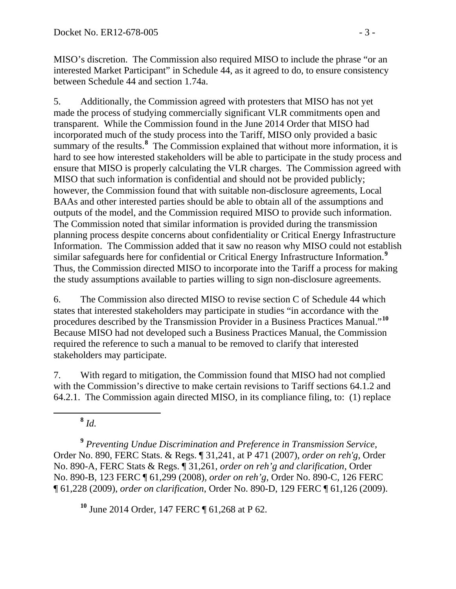MISO's discretion. The Commission also required MISO to include the phrase "or an interested Market Participant" in Schedule 44, as it agreed to do, to ensure consistency between Schedule 44 and section 1.74a.

5. Additionally, the Commission agreed with protesters that MISO has not yet made the process of studying commercially significant VLR commitments open and transparent. While the Commission found in the June 2014 Order that MISO had incorporated much of the study process into the Tariff, MISO only provided a basic summary of the results.<sup>[8](#page-2-0)</sup> The Commission explained that without more information, it is hard to see how interested stakeholders will be able to participate in the study process and ensure that MISO is properly calculating the VLR charges. The Commission agreed with MISO that such information is confidential and should not be provided publicly; however, the Commission found that with suitable non-disclosure agreements, Local BAAs and other interested parties should be able to obtain all of the assumptions and outputs of the model, and the Commission required MISO to provide such information. The Commission noted that similar information is provided during the transmission planning process despite concerns about confidentiality or Critical Energy Infrastructure Information. The Commission added that it saw no reason why MISO could not establish similar safeguards here for confidential or Critical Energy Infrastructure Information.**[9](#page-2-1)** Thus, the Commission directed MISO to incorporate into the Tariff a process for making the study assumptions available to parties willing to sign non-disclosure agreements.

6. The Commission also directed MISO to revise section C of Schedule 44 which states that interested stakeholders may participate in studies "in accordance with the procedures described by the Transmission Provider in a Business Practices Manual."**[10](#page-2-2)** Because MISO had not developed such a Business Practices Manual, the Commission required the reference to such a manual to be removed to clarify that interested stakeholders may participate.

7. With regard to mitigation, the Commission found that MISO had not complied with the Commission's directive to make certain revisions to Tariff sections 64.1.2 and 64.2.1. The Commission again directed MISO, in its compliance filing, to: (1) replace

**<sup>8</sup>** *Id.*

<span id="page-2-1"></span><span id="page-2-0"></span>**<sup>9</sup>** *Preventing Undue Discrimination and Preference in Transmission Service,*  Order No. 890, FERC Stats. & Regs. ¶ 31,241, at P 471 (2007), *order on reh'g*, Order No. 890-A, FERC Stats & Regs. ¶ 31,261, *order on reh'g and clarification*, Order No. 890-B, 123 FERC ¶ 61,299 (2008), *order on reh'g*, Order No. 890-C, 126 FERC ¶ 61,228 (2009), *order on clarification*, Order No. 890-D, 129 FERC ¶ 61,126 (2009).

<span id="page-2-2"></span>**<sup>10</sup>** June 2014 Order, 147 FERC ¶ 61,268 at P 62.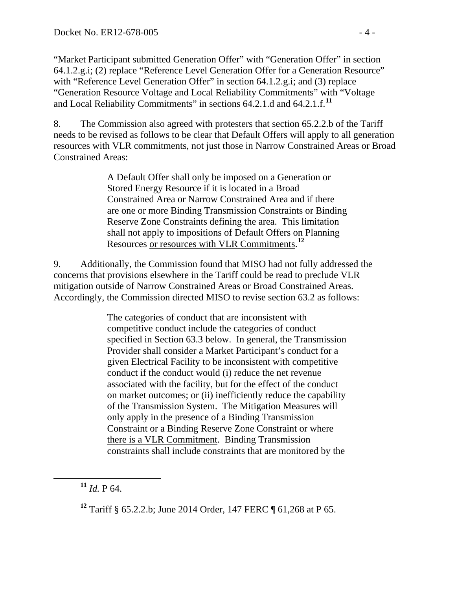"Market Participant submitted Generation Offer" with "Generation Offer" in section 64.1.2.g.i; (2) replace "Reference Level Generation Offer for a Generation Resource" with "Reference Level Generation Offer" in section 64.1.2.g.i; and (3) replace "Generation Resource Voltage and Local Reliability Commitments" with "Voltage and Local Reliability Commitments" in sections 64.2.1.d and 64.2.1.f.**[11](#page-3-0)**

8. The Commission also agreed with protesters that section 65.2.2.b of the Tariff needs to be revised as follows to be clear that Default Offers will apply to all generation resources with VLR commitments, not just those in Narrow Constrained Areas or Broad Constrained Areas:

> A Default Offer shall only be imposed on a Generation or Stored Energy Resource if it is located in a Broad Constrained Area or Narrow Constrained Area and if there are one or more Binding Transmission Constraints or Binding Reserve Zone Constraints defining the area. This limitation shall not apply to impositions of Default Offers on Planning Resources or resources with VLR Commitments. **[12](#page-3-1)**

9. Additionally, the Commission found that MISO had not fully addressed the concerns that provisions elsewhere in the Tariff could be read to preclude VLR mitigation outside of Narrow Constrained Areas or Broad Constrained Areas. Accordingly, the Commission directed MISO to revise section 63.2 as follows:

> The categories of conduct that are inconsistent with competitive conduct include the categories of conduct specified in Section 63.3 below. In general, the Transmission Provider shall consider a Market Participant's conduct for a given Electrical Facility to be inconsistent with competitive conduct if the conduct would (i) reduce the net revenue associated with the facility, but for the effect of the conduct on market outcomes; or (ii) inefficiently reduce the capability of the Transmission System. The Mitigation Measures will only apply in the presence of a Binding Transmission Constraint or a Binding Reserve Zone Constraint or where there is a VLR Commitment. Binding Transmission constraints shall include constraints that are monitored by the

<span id="page-3-0"></span>**<sup>11</sup>** *Id.* P 64.

<span id="page-3-1"></span>**<sup>12</sup>** Tariff § 65.2.2.b; June 2014 Order, 147 FERC ¶ 61,268 at P 65.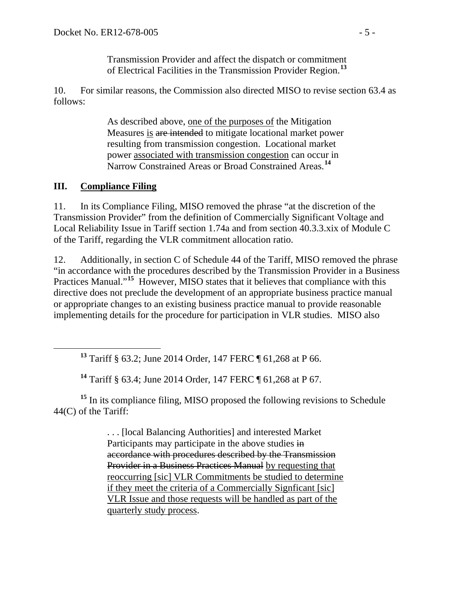Transmission Provider and affect the dispatch or commitment of Electrical Facilities in the Transmission Provider Region.**[13](#page-4-0)**

10. For similar reasons, the Commission also directed MISO to revise section 63.4 as follows:

> As described above, one of the purposes of the Mitigation Measures is are intended to mitigate locational market power resulting from transmission congestion. Locational market power associated with transmission congestion can occur in Narrow Constrained Areas or Broad Constrained Areas.**[14](#page-4-1)**

#### **III. Compliance Filing**

11. In its Compliance Filing, MISO removed the phrase "at the discretion of the Transmission Provider" from the definition of Commercially Significant Voltage and Local Reliability Issue in Tariff section 1.74a and from section 40.3.3.xix of Module C of the Tariff, regarding the VLR commitment allocation ratio.

12. Additionally, in section C of Schedule 44 of the Tariff, MISO removed the phrase "in accordance with the procedures described by the Transmission Provider in a Business Practices Manual."<sup>[15](#page-4-2)</sup> However, MISO states that it believes that compliance with this directive does not preclude the development of an appropriate business practice manual or appropriate changes to an existing business practice manual to provide reasonable implementing details for the procedure for participation in VLR studies. MISO also

**<sup>14</sup>** Tariff § 63.4; June 2014 Order, 147 FERC ¶ 61,268 at P 67.

<span id="page-4-2"></span><span id="page-4-1"></span><span id="page-4-0"></span>**<sup>15</sup>** In its compliance filing, MISO proposed the following revisions to Schedule 44(C) of the Tariff:

> . . . [local Balancing Authorities] and interested Market Participants may participate in the above studies in accordance with procedures described by the Transmission Provider in a Business Practices Manual by requesting that reoccurring [sic] VLR Commitments be studied to determine if they meet the criteria of a Commercially Signficant [sic] VLR Issue and those requests will be handled as part of the quarterly study process.

**<sup>13</sup>** Tariff § 63.2; June 2014 Order, 147 FERC ¶ 61,268 at P 66.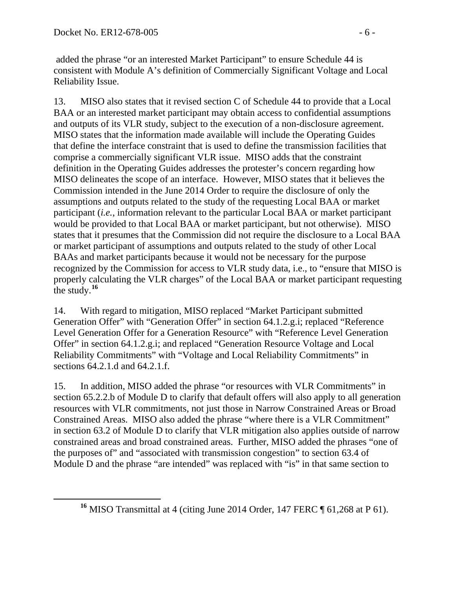added the phrase "or an interested Market Participant" to ensure Schedule 44 is consistent with Module A's definition of Commercially Significant Voltage and Local Reliability Issue.

13. MISO also states that it revised section C of Schedule 44 to provide that a Local BAA or an interested market participant may obtain access to confidential assumptions and outputs of its VLR study, subject to the execution of a non-disclosure agreement. MISO states that the information made available will include the Operating Guides that define the interface constraint that is used to define the transmission facilities that comprise a commercially significant VLR issue. MISO adds that the constraint definition in the Operating Guides addresses the protester's concern regarding how MISO delineates the scope of an interface. However, MISO states that it believes the Commission intended in the June 2014 Order to require the disclosure of only the assumptions and outputs related to the study of the requesting Local BAA or market participant (*i.e.*, information relevant to the particular Local BAA or market participant would be provided to that Local BAA or market participant, but not otherwise). MISO states that it presumes that the Commission did not require the disclosure to a Local BAA or market participant of assumptions and outputs related to the study of other Local BAAs and market participants because it would not be necessary for the purpose recognized by the Commission for access to VLR study data, i.e., to "ensure that MISO is properly calculating the VLR charges" of the Local BAA or market participant requesting the study.**[16](#page-5-0)**

14. With regard to mitigation, MISO replaced "Market Participant submitted Generation Offer" with "Generation Offer" in section 64.1.2.g.i; replaced "Reference Level Generation Offer for a Generation Resource" with "Reference Level Generation Offer" in section 64.1.2.g.i; and replaced "Generation Resource Voltage and Local Reliability Commitments" with "Voltage and Local Reliability Commitments" in sections 64.2.1.d and 64.2.1.f.

15. In addition, MISO added the phrase "or resources with VLR Commitments" in section 65.2.2.b of Module D to clarify that default offers will also apply to all generation resources with VLR commitments, not just those in Narrow Constrained Areas or Broad Constrained Areas. MISO also added the phrase "where there is a VLR Commitment" in section 63.2 of Module D to clarify that VLR mitigation also applies outside of narrow constrained areas and broad constrained areas. Further, MISO added the phrases "one of the purposes of" and "associated with transmission congestion" to section 63.4 of Module D and the phrase "are intended" was replaced with "is" in that same section to

<span id="page-5-0"></span>**<sup>16</sup>** MISO Transmittal at 4 (citing June 2014 Order, 147 FERC ¶ 61,268 at P 61).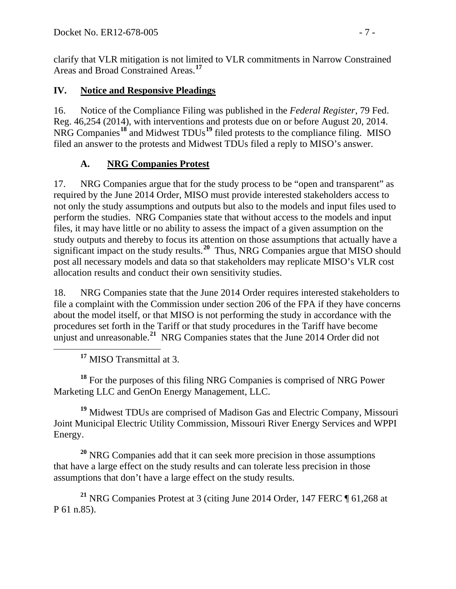clarify that VLR mitigation is not limited to VLR commitments in Narrow Constrained Areas and Broad Constrained Areas. **[17](#page-6-0)**

## **IV. Notice and Responsive Pleadings**

16. Notice of the Compliance Filing was published in the *Federal Register*, 79 Fed. Reg. 46,254 (2014), with interventions and protests due on or before August 20, 2014. NRG Companies**[18](#page-6-1)** and Midwest TDUs**[19](#page-6-2)** filed protests to the compliance filing. MISO filed an answer to the protests and Midwest TDUs filed a reply to MISO's answer.

## **A. NRG Companies Protest**

17. NRG Companies argue that for the study process to be "open and transparent" as required by the June 2014 Order, MISO must provide interested stakeholders access to not only the study assumptions and outputs but also to the models and input files used to perform the studies. NRG Companies state that without access to the models and input files, it may have little or no ability to assess the impact of a given assumption on the study outputs and thereby to focus its attention on those assumptions that actually have a significant impact on the study results.**[20](#page-6-3)** Thus, NRG Companies argue that MISO should post all necessary models and data so that stakeholders may replicate MISO's VLR cost allocation results and conduct their own sensitivity studies.

18. NRG Companies state that the June 2014 Order requires interested stakeholders to file a complaint with the Commission under section 206 of the FPA if they have concerns about the model itself, or that MISO is not performing the study in accordance with the procedures set forth in the Tariff or that study procedures in the Tariff have become unjust and unreasonable.**[21](#page-6-4)** NRG Companies states that the June 2014 Order did not

**<sup>17</sup>** MISO Transmittal at 3.

<span id="page-6-1"></span><span id="page-6-0"></span>**<sup>18</sup>** For the purposes of this filing NRG Companies is comprised of NRG Power Marketing LLC and GenOn Energy Management, LLC.

<span id="page-6-2"></span>**<sup>19</sup>** Midwest TDUs are comprised of Madison Gas and Electric Company, Missouri Joint Municipal Electric Utility Commission, Missouri River Energy Services and WPPI Energy.

<span id="page-6-3"></span>**<sup>20</sup>** NRG Companies add that it can seek more precision in those assumptions that have a large effect on the study results and can tolerate less precision in those assumptions that don't have a large effect on the study results.

<span id="page-6-4"></span>**<sup>21</sup>** NRG Companies Protest at 3 (citing June 2014 Order, 147 FERC ¶ 61,268 at P 61 n.85).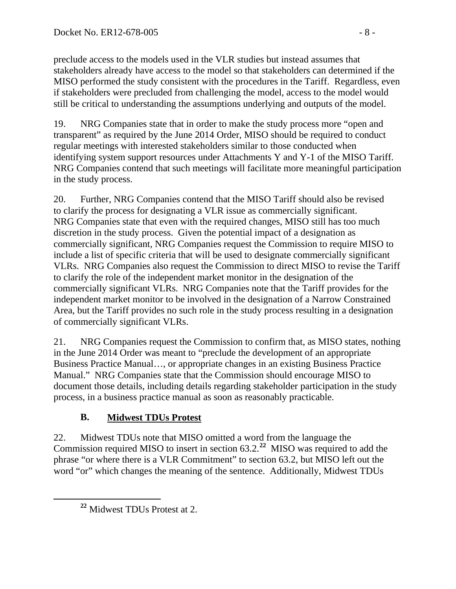preclude access to the models used in the VLR studies but instead assumes that stakeholders already have access to the model so that stakeholders can determined if the MISO performed the study consistent with the procedures in the Tariff. Regardless, even if stakeholders were precluded from challenging the model, access to the model would still be critical to understanding the assumptions underlying and outputs of the model.

19. NRG Companies state that in order to make the study process more "open and transparent" as required by the June 2014 Order, MISO should be required to conduct regular meetings with interested stakeholders similar to those conducted when identifying system support resources under Attachments Y and Y-1 of the MISO Tariff. NRG Companies contend that such meetings will facilitate more meaningful participation in the study process.

20. Further, NRG Companies contend that the MISO Tariff should also be revised to clarify the process for designating a VLR issue as commercially significant. NRG Companies state that even with the required changes, MISO still has too much discretion in the study process. Given the potential impact of a designation as commercially significant, NRG Companies request the Commission to require MISO to include a list of specific criteria that will be used to designate commercially significant VLRs. NRG Companies also request the Commission to direct MISO to revise the Tariff to clarify the role of the independent market monitor in the designation of the commercially significant VLRs. NRG Companies note that the Tariff provides for the independent market monitor to be involved in the designation of a Narrow Constrained Area, but the Tariff provides no such role in the study process resulting in a designation of commercially significant VLRs.

21. NRG Companies request the Commission to confirm that, as MISO states, nothing in the June 2014 Order was meant to "preclude the development of an appropriate Business Practice Manual…, or appropriate changes in an existing Business Practice Manual." NRG Companies state that the Commission should encourage MISO to document those details, including details regarding stakeholder participation in the study process, in a business practice manual as soon as reasonably practicable.

# **B. Midwest TDUs Protest**

22. Midwest TDUs note that MISO omitted a word from the language the Commission required MISO to insert in section 63.2.**[22](#page-7-0)** MISO was required to add the phrase "or where there is a VLR Commitment" to section 63.2, but MISO left out the word "or" which changes the meaning of the sentence. Additionally, Midwest TDUs

<span id="page-7-0"></span>**<sup>22</sup>** Midwest TDUs Protest at 2.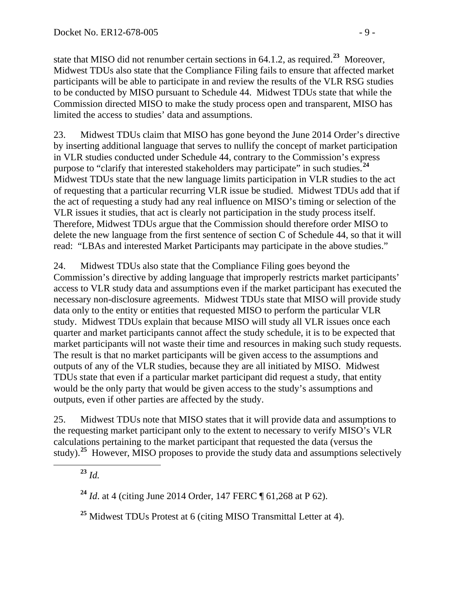state that MISO did not renumber certain sections in 64.1.2, as required.**[23](#page-8-0)** Moreover, Midwest TDUs also state that the Compliance Filing fails to ensure that affected market participants will be able to participate in and review the results of the VLR RSG studies to be conducted by MISO pursuant to Schedule 44. Midwest TDUs state that while the Commission directed MISO to make the study process open and transparent, MISO has limited the access to studies' data and assumptions.

23. Midwest TDUs claim that MISO has gone beyond the June 2014 Order's directive by inserting additional language that serves to nullify the concept of market participation in VLR studies conducted under Schedule 44, contrary to the Commission's express purpose to "clarify that interested stakeholders may participate" in such studies.**[24](#page-8-1)** Midwest TDUs state that the new language limits participation in VLR studies to the act of requesting that a particular recurring VLR issue be studied. Midwest TDUs add that if the act of requesting a study had any real influence on MISO's timing or selection of the VLR issues it studies, that act is clearly not participation in the study process itself. Therefore, Midwest TDUs argue that the Commission should therefore order MISO to delete the new language from the first sentence of section C of Schedule 44, so that it will read: "LBAs and interested Market Participants may participate in the above studies."

24. Midwest TDUs also state that the Compliance Filing goes beyond the Commission's directive by adding language that improperly restricts market participants' access to VLR study data and assumptions even if the market participant has executed the necessary non-disclosure agreements. Midwest TDUs state that MISO will provide study data only to the entity or entities that requested MISO to perform the particular VLR study. Midwest TDUs explain that because MISO will study all VLR issues once each quarter and market participants cannot affect the study schedule, it is to be expected that market participants will not waste their time and resources in making such study requests. The result is that no market participants will be given access to the assumptions and outputs of any of the VLR studies, because they are all initiated by MISO. Midwest TDUs state that even if a particular market participant did request a study, that entity would be the only party that would be given access to the study's assumptions and outputs, even if other parties are affected by the study.

<span id="page-8-0"></span>25. Midwest TDUs note that MISO states that it will provide data and assumptions to the requesting market participant only to the extent to necessary to verify MISO's VLR calculations pertaining to the market participant that requested the data (versus the study).**[25](#page-8-2)** However, MISO proposes to provide the study data and assumptions selectively

**<sup>23</sup>** *Id.*

<span id="page-8-1"></span>**<sup>24</sup>** *Id*. at 4 (citing June 2014 Order, 147 FERC ¶ 61,268 at P 62).

<span id="page-8-2"></span>**<sup>25</sup>** Midwest TDUs Protest at 6 (citing MISO Transmittal Letter at 4).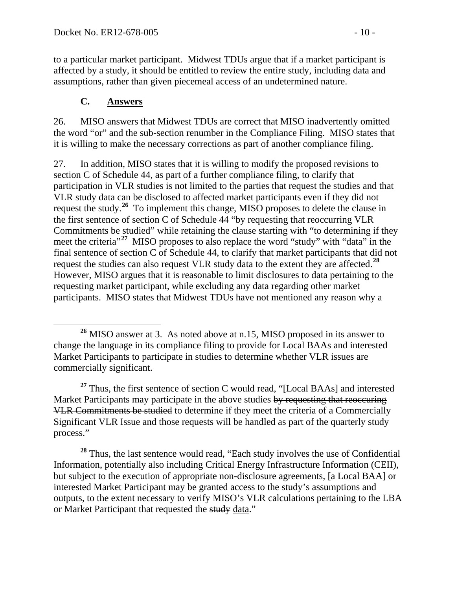to a particular market participant. Midwest TDUs argue that if a market participant is affected by a study, it should be entitled to review the entire study, including data and assumptions, rather than given piecemeal access of an undetermined nature.

#### **C. Answers**

26. MISO answers that Midwest TDUs are correct that MISO inadvertently omitted the word "or" and the sub-section renumber in the Compliance Filing. MISO states that it is willing to make the necessary corrections as part of another compliance filing.

27. In addition, MISO states that it is willing to modify the proposed revisions to section C of Schedule 44, as part of a further compliance filing, to clarify that participation in VLR studies is not limited to the parties that request the studies and that VLR study data can be disclosed to affected market participants even if they did not request the study.**[26](#page-9-0)** To implement this change, MISO proposes to delete the clause in the first sentence of section C of Schedule 44 "by requesting that reoccurring VLR Commitments be studied" while retaining the clause starting with "to determining if they meet the criteria<sup>"<sup>[27](#page-9-1)</sup> MISO proposes to also replace the word "study" with "data" in the</sup> final sentence of section C of Schedule 44, to clarify that market participants that did not request the studies can also request VLR study data to the extent they are affected.**[28](#page-9-2)** However, MISO argues that it is reasonable to limit disclosures to data pertaining to the requesting market participant, while excluding any data regarding other market participants. MISO states that Midwest TDUs have not mentioned any reason why a

<span id="page-9-1"></span>**<sup>27</sup>** Thus, the first sentence of section C would read, "[Local BAAs] and interested Market Participants may participate in the above studies by requesting that reoccuring VLR Commitments be studied to determine if they meet the criteria of a Commercially Significant VLR Issue and those requests will be handled as part of the quarterly study process."

<span id="page-9-2"></span>**<sup>28</sup>** Thus, the last sentence would read, "Each study involves the use of Confidential Information, potentially also including Critical Energy Infrastructure Information (CEII), but subject to the execution of appropriate non-disclosure agreements, [a Local BAA] or interested Market Participant may be granted access to the study's assumptions and outputs, to the extent necessary to verify MISO's VLR calculations pertaining to the LBA or Market Participant that requested the study data."

<span id="page-9-0"></span>**<sup>26</sup>** MISO answer at 3. As noted above at n.15, MISO proposed in its answer to change the language in its compliance filing to provide for Local BAAs and interested Market Participants to participate in studies to determine whether VLR issues are commercially significant.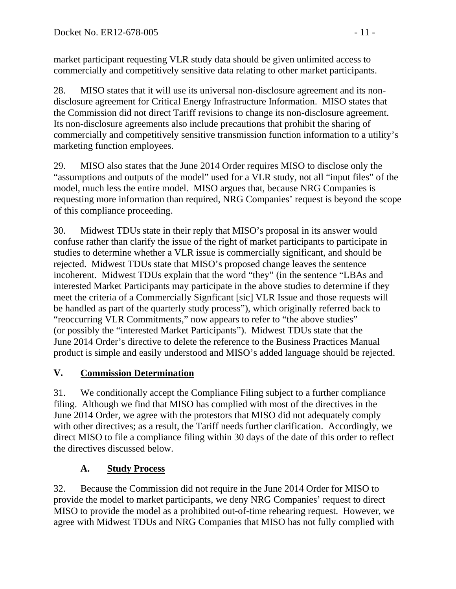market participant requesting VLR study data should be given unlimited access to commercially and competitively sensitive data relating to other market participants.

28. MISO states that it will use its universal non-disclosure agreement and its nondisclosure agreement for Critical Energy Infrastructure Information. MISO states that the Commission did not direct Tariff revisions to change its non-disclosure agreement. Its non-disclosure agreements also include precautions that prohibit the sharing of commercially and competitively sensitive transmission function information to a utility's marketing function employees.

29. MISO also states that the June 2014 Order requires MISO to disclose only the "assumptions and outputs of the model" used for a VLR study, not all "input files" of the model, much less the entire model. MISO argues that, because NRG Companies is requesting more information than required, NRG Companies' request is beyond the scope of this compliance proceeding.

30. Midwest TDUs state in their reply that MISO's proposal in its answer would confuse rather than clarify the issue of the right of market participants to participate in studies to determine whether a VLR issue is commercially significant, and should be rejected. Midwest TDUs state that MISO's proposed change leaves the sentence incoherent. Midwest TDUs explain that the word "they" (in the sentence "LBAs and interested Market Participants may participate in the above studies to determine if they meet the criteria of a Commercially Signficant [sic] VLR Issue and those requests will be handled as part of the quarterly study process"), which originally referred back to "reoccurring VLR Commitments," now appears to refer to "the above studies" (or possibly the "interested Market Participants"). Midwest TDUs state that the June 2014 Order's directive to delete the reference to the Business Practices Manual product is simple and easily understood and MISO's added language should be rejected.

# **V. Commission Determination**

31. We conditionally accept the Compliance Filing subject to a further compliance filing. Although we find that MISO has complied with most of the directives in the June 2014 Order, we agree with the protestors that MISO did not adequately comply with other directives; as a result, the Tariff needs further clarification. Accordingly, we direct MISO to file a compliance filing within 30 days of the date of this order to reflect the directives discussed below.

# **A. Study Process**

32. Because the Commission did not require in the June 2014 Order for MISO to provide the model to market participants, we deny NRG Companies' request to direct MISO to provide the model as a prohibited out-of-time rehearing request. However, we agree with Midwest TDUs and NRG Companies that MISO has not fully complied with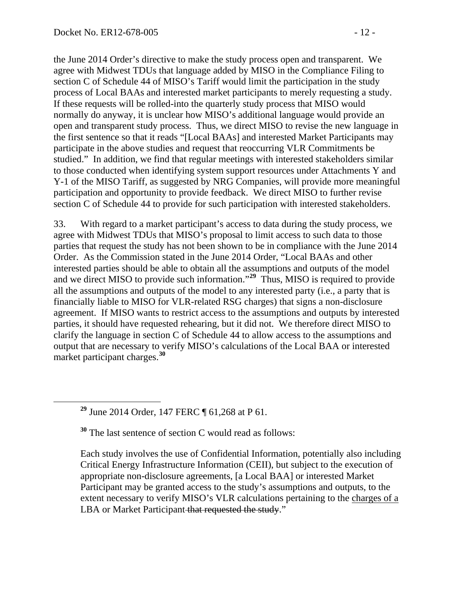the June 2014 Order's directive to make the study process open and transparent. We agree with Midwest TDUs that language added by MISO in the Compliance Filing to section C of Schedule 44 of MISO's Tariff would limit the participation in the study process of Local BAAs and interested market participants to merely requesting a study. If these requests will be rolled-into the quarterly study process that MISO would normally do anyway, it is unclear how MISO's additional language would provide an open and transparent study process. Thus, we direct MISO to revise the new language in the first sentence so that it reads "[Local BAAs] and interested Market Participants may participate in the above studies and request that reoccurring VLR Commitments be studied." In addition, we find that regular meetings with interested stakeholders similar to those conducted when identifying system support resources under Attachments Y and Y-1 of the MISO Tariff, as suggested by NRG Companies, will provide more meaningful participation and opportunity to provide feedback. We direct MISO to further revise section C of Schedule 44 to provide for such participation with interested stakeholders.

33. With regard to a market participant's access to data during the study process, we agree with Midwest TDUs that MISO's proposal to limit access to such data to those parties that request the study has not been shown to be in compliance with the June 2014 Order. As the Commission stated in the June 2014 Order, "Local BAAs and other interested parties should be able to obtain all the assumptions and outputs of the model and we direct MISO to provide such information."**[29](#page-11-0)** Thus, MISO is required to provide all the assumptions and outputs of the model to any interested party (i.e., a party that is financially liable to MISO for VLR-related RSG charges) that signs a non-disclosure agreement. If MISO wants to restrict access to the assumptions and outputs by interested parties, it should have requested rehearing, but it did not. We therefore direct MISO to clarify the language in section C of Schedule 44 to allow access to the assumptions and output that are necessary to verify MISO's calculations of the Local BAA or interested market participant charges. **[30](#page-11-1)**

<span id="page-11-0"></span>**<sup>29</sup>** June 2014 Order, 147 FERC ¶ 61,268 at P 61.

<span id="page-11-1"></span>**<sup>30</sup>** The last sentence of section C would read as follows:

Each study involves the use of Confidential Information, potentially also including Critical Energy Infrastructure Information (CEII), but subject to the execution of appropriate non-disclosure agreements, [a Local BAA] or interested Market Participant may be granted access to the study's assumptions and outputs, to the extent necessary to verify MISO's VLR calculations pertaining to the charges of a LBA or Market Participant that requested the study."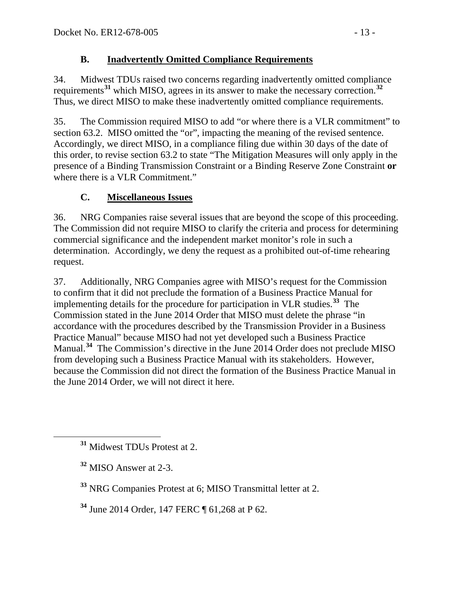## **B. Inadvertently Omitted Compliance Requirements**

34. Midwest TDUs raised two concerns regarding inadvertently omitted compliance requirements**[31](#page-12-0)** which MISO, agrees in its answer to make the necessary correction.**[32](#page-12-1)** Thus, we direct MISO to make these inadvertently omitted compliance requirements.

35. The Commission required MISO to add "or where there is a VLR commitment" to section 63.2. MISO omitted the "or", impacting the meaning of the revised sentence. Accordingly, we direct MISO, in a compliance filing due within 30 days of the date of this order, to revise section 63.2 to state "The Mitigation Measures will only apply in the presence of a Binding Transmission Constraint or a Binding Reserve Zone Constraint **or**  where there is a VLR Commitment."

# **C. Miscellaneous Issues**

36. NRG Companies raise several issues that are beyond the scope of this proceeding. The Commission did not require MISO to clarify the criteria and process for determining commercial significance and the independent market monitor's role in such a determination. Accordingly, we deny the request as a prohibited out-of-time rehearing request.

37. Additionally, NRG Companies agree with MISO's request for the Commission to confirm that it did not preclude the formation of a Business Practice Manual for implementing details for the procedure for participation in VLR studies.**[33](#page-12-2)** The Commission stated in the June 2014 Order that MISO must delete the phrase "in accordance with the procedures described by the Transmission Provider in a Business Practice Manual" because MISO had not yet developed such a Business Practice Manual.**[34](#page-12-3)** The Commission's directive in the June 2014 Order does not preclude MISO from developing such a Business Practice Manual with its stakeholders. However, because the Commission did not direct the formation of the Business Practice Manual in the June 2014 Order, we will not direct it here.

<span id="page-12-3"></span>**<sup>34</sup>** June 2014 Order, 147 FERC ¶ 61,268 at P 62.

<span id="page-12-0"></span>**<sup>31</sup>** Midwest TDUs Protest at 2.

<span id="page-12-1"></span>**<sup>32</sup>** MISO Answer at 2-3.

<span id="page-12-2"></span>**<sup>33</sup>** NRG Companies Protest at 6; MISO Transmittal letter at 2.